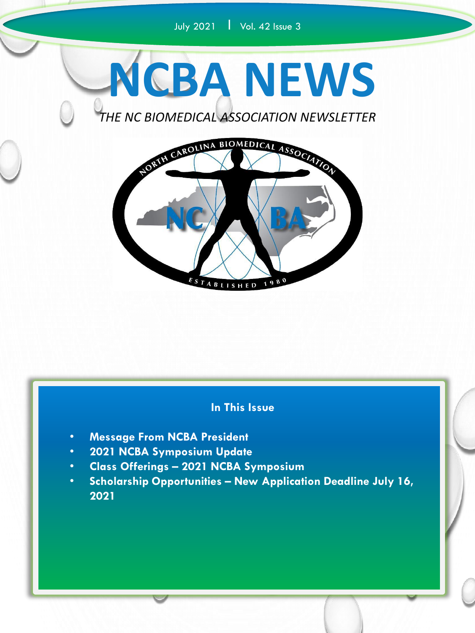## July 2021 | Vol. 42 Issue 3



*THE NC BIOMEDICAL ASSOCIATION NEWSLETTER*



#### **In This Issue**

- **Message From NCBA President**
- **2021 NCBA Symposium Update**
- **Class Offerings – 2021 NCBA Symposium**
- **Scholarship Opportunities – New Application Deadline July 16, 2021**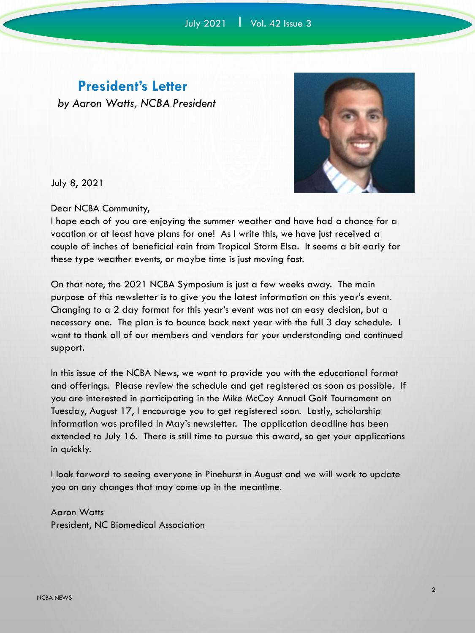#### **President's Letter**

*by Aaron Watts, NCBA President*



July 8, 2021

Dear NCBA Community,

I hope each of you are enjoying the summer weather and have had a chance for a vacation or at least have plans for one! As I write this, we have just received a couple of inches of beneficial rain from Tropical Storm Elsa. It seems a bit early for these type weather events, or maybe time is just moving fast.

On that note, the 2021 NCBA Symposium is just a few weeks away. The main purpose of this newsletter is to give you the latest information on this year's event. Changing to a 2 day format for this year's event was not an easy decision, but a necessary one. The plan is to bounce back next year with the full 3 day schedule. I want to thank all of our members and vendors for your understanding and continued support.

In this issue of the NCBA News, we want to provide you with the educational format and offerings. Please review the schedule and get registered as soon as possible. If you are interested in participating in the Mike McCoy Annual Golf Tournament on Tuesday, August 17, I encourage you to get registered soon. Lastly, scholarship information was profiled in May's newsletter. The application deadline has been extended to July 16. There is still time to pursue this award, so get your applications in quickly.

I look forward to seeing everyone in Pinehurst in August and we will work to update you on any changes that may come up in the meantime.

Aaron Watts President, NC Biomedical Association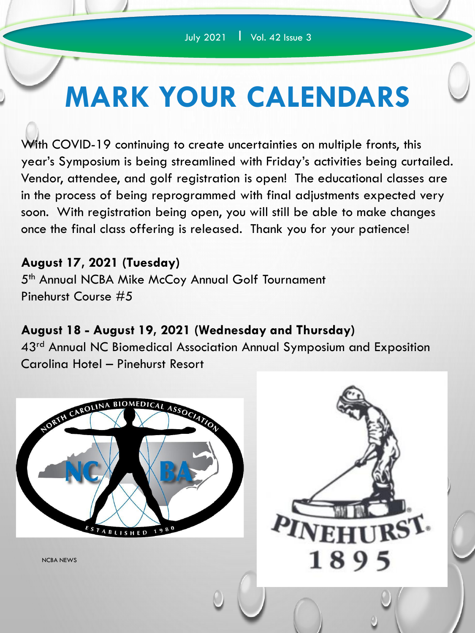# **MARK YOUR CALENDARS**

With COVID-19 continuing to create uncertainties on multiple fronts, this year's Symposium is being streamlined with Friday's activities being curtailed. Vendor, attendee, and golf registration is open! The educational classes are in the process of being reprogrammed with final adjustments expected very soon. With registration being open, you will still be able to make changes once the final class offering is released. Thank you for your patience!

### **August 17, 2021 (Tuesday)**

5<sup>th</sup> Annual NCBA Mike McCoy Annual Golf Tournament Pinehurst Course #5

## **August 18 - August 19, 2021 (Wednesday and Thursday)**

43<sup>rd</sup> Annual NC Biomedical Association Annual Symposium and Exposition Carolina Hotel – Pinehurst Resort

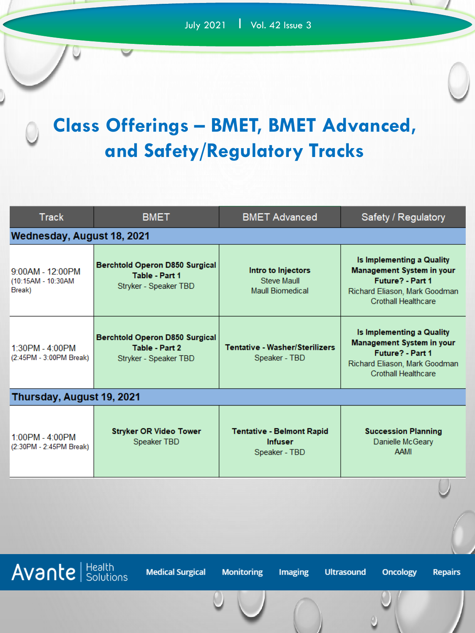# **Class Offerings – BMET, BMET Advanced, and Safety/Regulatory Tracks**

| <b>Track</b>                                                                                                                                        | <b>BMET</b>                                                                      | <b>BMET Advanced</b>                                                | Safety / Regulatory                                                                                                                              |  |
|-----------------------------------------------------------------------------------------------------------------------------------------------------|----------------------------------------------------------------------------------|---------------------------------------------------------------------|--------------------------------------------------------------------------------------------------------------------------------------------------|--|
| Wednesday, August 18, 2021                                                                                                                          |                                                                                  |                                                                     |                                                                                                                                                  |  |
| 9:00AM - 12:00PM<br>(10:15AM - 10:30AM<br>Break)                                                                                                    | <b>Berchtold Operon D850 Surgical</b><br>Table - Part 1<br>Stryker - Speaker TBD | Intro to Injectors<br>Steve Maull<br><b>Maull Biomedical</b>        | Is Implementing a Quality<br><b>Management System in your</b><br>Future? - Part 1<br>Richard Eliason, Mark Goodman<br><b>Crothall Healthcare</b> |  |
| 1:30PM - 4:00PM<br>(2:45PM - 3:00PM Break)                                                                                                          | <b>Berchtold Operon D850 Surgical</b><br>Table - Part 2<br>Stryker - Speaker TBD | <b>Tentative - Washer/Sterilizers</b><br>Speaker - TBD              | Is Implementing a Quality<br><b>Management System in your</b><br>Future? - Part 1<br>Richard Eliason, Mark Goodman<br>Crothall Healthcare        |  |
| Thursday, August 19, 2021                                                                                                                           |                                                                                  |                                                                     |                                                                                                                                                  |  |
| 1:00PM - 4:00PM<br>(2:30PM - 2:45PM Break)                                                                                                          | <b>Stryker OR Video Tower</b><br>Speaker TBD                                     | <b>Tentative - Belmont Rapid</b><br><b>Infuser</b><br>Speaker - TBD | <b>Succession Planning</b><br>Danielle McGeary<br><b>AAMI</b>                                                                                    |  |
|                                                                                                                                                     |                                                                                  |                                                                     |                                                                                                                                                  |  |
|                                                                                                                                                     |                                                                                  |                                                                     |                                                                                                                                                  |  |
| <b>Avante</b> Solutions<br><b>Medical Surgical</b><br><b>Monitoring</b><br><b>Imaging</b><br><b>Ultrasound</b><br><b>Oncology</b><br><b>Repairs</b> |                                                                                  |                                                                     |                                                                                                                                                  |  |
|                                                                                                                                                     |                                                                                  |                                                                     |                                                                                                                                                  |  |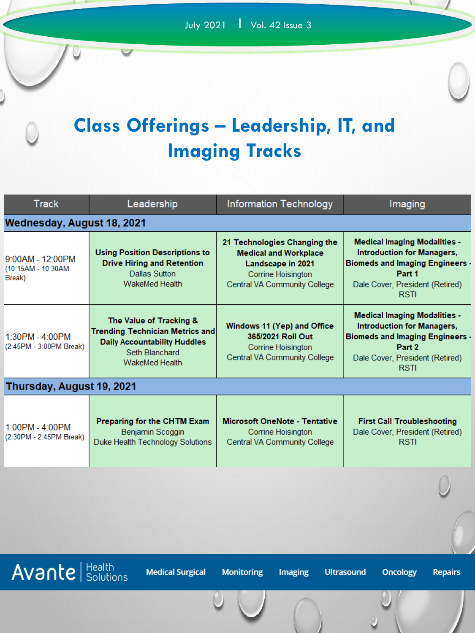# **Class Offerings – Leadership, IT, and Imaging Tracks**

| <b>Track</b>                                     | Leadership                                                                                                                                          | <b>Information Technology</b>                                                                                                                  | Imaging                                                                                                                                                                        |  |  |
|--------------------------------------------------|-----------------------------------------------------------------------------------------------------------------------------------------------------|------------------------------------------------------------------------------------------------------------------------------------------------|--------------------------------------------------------------------------------------------------------------------------------------------------------------------------------|--|--|
| Wednesday, August 18, 2021                       |                                                                                                                                                     |                                                                                                                                                |                                                                                                                                                                                |  |  |
| 9:00AM - 12:00PM<br>(10:15AM - 10:30AM<br>Break) | <b>Using Position Descriptions to</b><br><b>Drive Hiring and Retention</b><br>Dallas Sutton<br>WakeMed Health                                       | 21 Technologies Changing the<br><b>Medical and Workplace</b><br>Landscape in 2021<br>Corrine Hoisington<br><b>Central VA Community College</b> | <b>Medical Imaging Modalities -</b><br><b>Introduction for Managers,</b><br><b>Biomeds and Imaging Engineers -</b><br>Part 1<br>Dale Cover, President (Retired)<br><b>RSTI</b> |  |  |
| 1:30PM - 4:00PM<br>(2:45PM - 3:00PM Break)       | The Value of Tracking &<br><b>Trending Technician Metrics and</b><br><b>Daily Accountability Huddles</b><br>Seth Blanchard<br><b>WakeMed Health</b> | Windows 11 (Yep) and Office<br>365/2021 Roll Out<br>Corrine Hoisington<br>Central VA Community College                                         | <b>Medical Imaging Modalities -</b><br><b>Introduction for Managers,</b><br><b>Biomeds and Imaging Engineers -</b><br>Part 2<br>Dale Cover, President (Retired)<br><b>RSTI</b> |  |  |
| Thursday, August 19, 2021                        |                                                                                                                                                     |                                                                                                                                                |                                                                                                                                                                                |  |  |
| 1:00PM - 4:00PM<br>(2:30PM - 2:45PM Break)       | Preparing for the CHTM Exam<br>Benjamin Scoggin<br>Duke Health Technology Solutions                                                                 | <b>Microsoft OneNote - Tentative</b><br>Corrine Hoisington<br>Central VA Community College                                                     | <b>First Call Troubleshooting</b><br>Dale Cover, President (Retired)<br><b>RSTI</b>                                                                                            |  |  |
|                                                  |                                                                                                                                                     |                                                                                                                                                |                                                                                                                                                                                |  |  |

 $\overline{Avan}$  Health

**Medical Surgical** 

**Monitoring** 

Imaging

**Ultrasound** 

Oncology

**Repairs**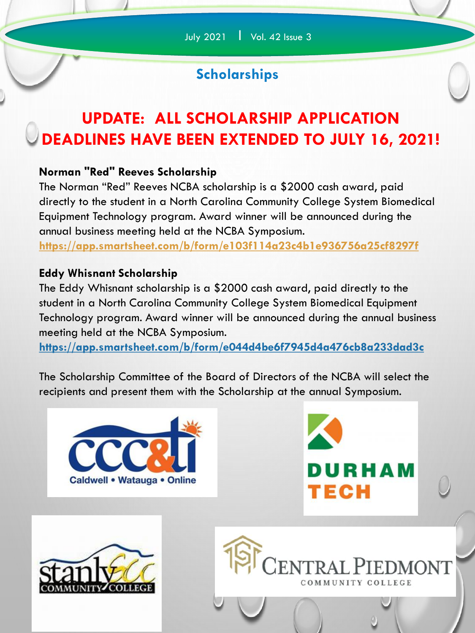# **Scholarships**

# **UPDATE: ALL SCHOLARSHIP APPLICATION DEADLINES HAVE BEEN EXTENDED TO JULY 16, 2021!**

#### **Norman "Red" Reeves Scholarship**

The Norman "Red" Reeves NCBA scholarship is a \$2000 cash award, paid directly to the student in a North Carolina Community College System Biomedical Equipment Technology program. Award winner will be announced during the annual business meeting held at the NCBA Symposium.

**<https://app.smartsheet.com/b/form/e103f114a23c4b1e936756a25cf8297f>**

#### **Eddy Whisnant Scholarship**

The Eddy Whisnant scholarship is a \$2000 cash award, paid directly to the student in a North Carolina Community College System Biomedical Equipment Technology program. Award winner will be announced during the annual business meeting held at the NCBA Symposium.

**<https://app.smartsheet.com/b/form/e044d4be6f7945d4a476cb8a233dad3c>**

The Scholarship Committee of the Board of Directors of the NCBA will select the recipients and present them with the Scholarship at the annual Symposium.